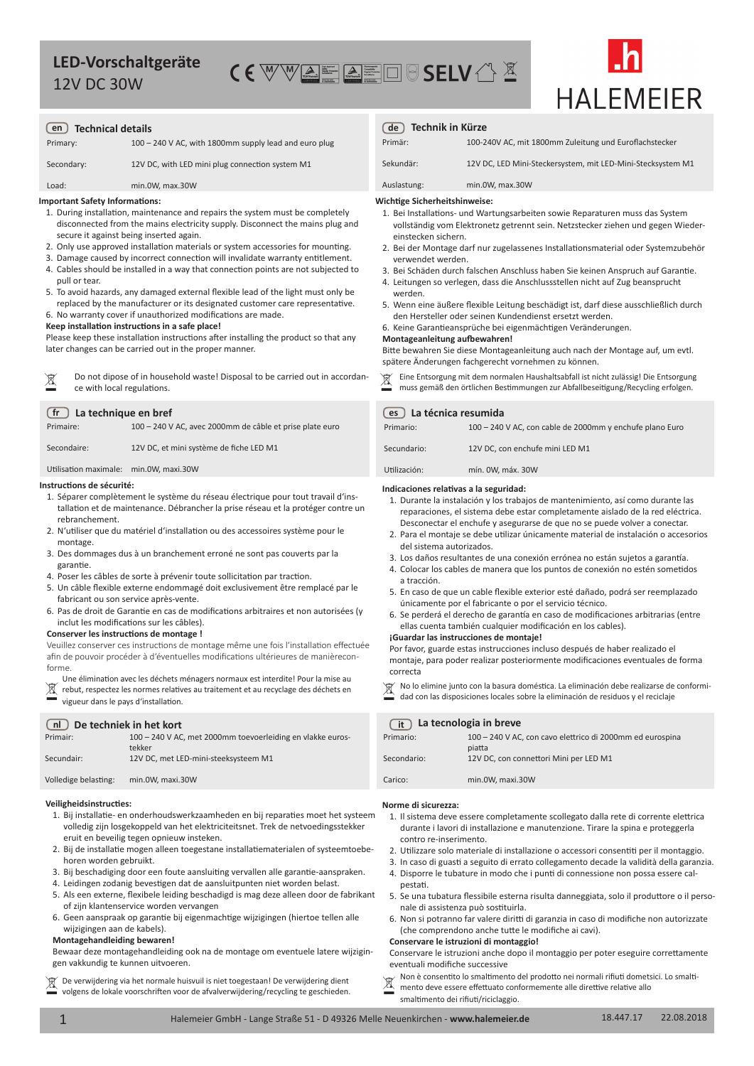LED-Vorschaltgeräte<br>13V DC 30W



| <b>Technical details</b><br>en l |                                                       | <b>Technik in Kürze</b><br>de |           |
|----------------------------------|-------------------------------------------------------|-------------------------------|-----------|
| Primary:                         | 100 - 240 V AC, with 1800mm supply lead and euro plug | Primär:                       | $100 - 2$ |
| Secondary:                       | 12V DC, with LED mini plug connection system M1       | Sekundär:                     | 12V D     |
| Load:                            | min.0W, max.30W                                       | Auslastung:                   | min.0     |

#### **Important Safety Informations:**

- 1. During installation, maintenance and repairs the system must be completely disconnected from the mains electricity supply. Disconnect the mains plug and secure it against being inserted again.
- 2. Only use approved installation materials or system accessories for mounting.
- 3. Damage caused by incorrect connection will invalidate warranty entitlement.
- 4. Cables should be installed in a way that connection points are not subjected to pull or tear.
- 5. To avoid hazards, any damaged external flexible lead of the light must only be replaced by the manufacturer or its designated customer care representative.

6. No warranty cover if unauthorized modifications are made.

# **Keep installation instructions in a safe place!**

Please keep these installation instructions after installing the product so that any later changes can be carried out in the proper manner.

| Do not dipose of in household waste! Disposal to be carried out in accordan- | Eine Entsorgung mit dem normalen Haushaltsabfall ist nicht zulässig! Die Entsorgung |
|------------------------------------------------------------------------------|-------------------------------------------------------------------------------------|
| ce with local regulations.                                                   | muss gemäß den örtlichen Bestimmungen zur Abfallbeseitigung/Recycling erfolgen.     |

|  | $(fr)$ La technique en bref |  |
|--|-----------------------------|--|
|--|-----------------------------|--|

Primaire: 100 – 240 V AC, avec 2000mm de câble et prise plate euro

Secondaire: 12V DC, et mini système de fiche LED M1

Utilisation maximale: min.0W, maxi.30W

## **Instructions de sécurité:**

- 1. Séparer complètement le système du réseau électrique pour tout travail d'installation et de maintenance. Débrancher la prise réseau et la protéger contre un rebranchement.
- 2. N'utiliser que du matériel d'installation ou des accessoires système pour le montage.
- 3. Des dommages dus à un branchement erroné ne sont pas couverts par la garantie.
- 4. Poser les câbles de sorte à prévenir toute sollicitation par traction.
- 5. Un câble flexible externe endommagé doit exclusivement être remplacé par le fabricant ou son service après-vente.
- 6. Pas de droit de Garantie en cas de modifications arbitraires et non autorisées (y inclut les modifications sur les câbles).

## **Conserver les instructions de montage !**

Veuillez conserver ces instructions de montage même une fois l'installation effectuée afin de pouvoir procéder à d'éventuelles modifications ultérieures de manièreconforme.

 $\boxtimes$ Une élimination avec les déchets ménagers normaux est interdite! Pour la mise au rebut, respectez les normes relatives au traitement et au recyclage des déchets en vigueur dans le pays d'installation.

| (n)<br>De techniek in het kort |                                                            |  |
|--------------------------------|------------------------------------------------------------|--|
| Primair:                       | 100 - 240 V AC, met 2000mm toevoerleiding en vlakke euros- |  |
| Secundair:                     | tekker<br>12V DC, met LED-mini-steeksysteem M1             |  |
| Volledige belasting:           | min.0W, maxi.30W                                           |  |

## **Veiligheidsinstructies:**

- 1. Bij installatie- en onderhoudswerkzaamheden en bij reparaties moet het systeem volledig zijn losgekoppeld van het elektriciteitsnet. Trek de netvoedingsstekker eruit en beveilig tegen opnieuw insteken.
- 2. Bij de installatie mogen alleen toegestane installatiematerialen of systeemtoebehoren worden gebruikt.
- 3. Bij beschadiging door een foute aansluiting vervallen alle garantie-aanspraken.
- 4. Leidingen zodanig bevestigen dat de aansluitpunten niet worden belast.
- 5. Als een externe, flexibele leiding beschadigd is mag deze alleen door de fabrikant of zijn klantenservice worden vervangen
- 6. Geen aanspraak op garantie bij eigenmachtige wijzigingen (hiertoe tellen alle wijzigingen aan de kabels).

#### **Montagehandleiding bewaren!**

Bewaar deze montagehandleiding ook na de montage om eventuele latere wijzigingen vakkundig te kunnen uitvoeren.

 $\boxtimes$ De verwijdering via het normale huisvuil is niet toegestaan! De verwijdering dient De verwijdering via het normale huisvuil is niet toegestaan! De verwijdering dient  $\mathbb{R}$ <br>volgens de lokale voorschriften voor de afvalverwijdering/recycling te geschieden.

| $\lceil$ de $\rceil$ . | Technik in Kürze |
|------------------------|------------------|
|                        |                  |

| Primär:   | 100-240V AC, mit 1800mm Zuleitung und Euroflachstecker      |
|-----------|-------------------------------------------------------------|
| Sekundär: | 12V DC. LED Mini-Steckersystem. mit LED-Mini-Stecksystem M1 |

.0W, max.30W

# **Wichtige Sicherheitshinweise:**

- 1. Bei Installations- und Wartungsarbeiten sowie Reparaturen muss das System vollständig vom Elektronetz getrennt sein. Netzstecker ziehen und gegen Wiedereinstecken sichern.
- 2. Bei der Montage darf nur zugelassenes Installationsmaterial oder Systemzubehör verwendet werden.
- 3. Bei Schäden durch falschen Anschluss haben Sie keinen Anspruch auf Garantie.
- 4. Leitungen so verlegen, dass die Anschlussstellen nicht auf Zug beansprucht werden.
- 5. Wenn eine äußere flexible Leitung beschädigt ist, darf diese ausschließlich durch den Hersteller oder seinen Kundendienst ersetzt werden.
- 6. Keine Garantieansprüche bei eigenmächtigen Veränderungen.

# **Montageanleitung aufbewahren!**

Bitte bewahren Sie diese Montageanleitung auch nach der Montage auf, um evtl. spätere Änderungen fachgerecht vornehmen zu können.

|  | Eine Entsorgung mit dem normalen Haushaltsabfall ist nicht zulässig! Die Entsorgung |
|--|-------------------------------------------------------------------------------------|
|  | muss gemäß den örtlichen Bestimmungen zur Abfallbeseitigung/Recycling erfolgen.     |

### **es La técnica resumida**

| Primario:    | 100 - 240 V AC, con cable de 2000mm y enchufe plano Euro |
|--------------|----------------------------------------------------------|
| Secundario:  | 12V DC, con enchufe mini LED M1                          |
| Utilización: | mín. 0W, máx. 30W                                        |
|              |                                                          |

# **Indicaciones relativas a la seguridad:**

- 1. Durante la instalación y los trabajos de mantenimiento, así como durante las reparaciones, el sistema debe estar completamente aislado de la red eléctrica. Desconectar el enchufe y asegurarse de que no se puede volver a conectar.
- 2. Para el montaje se debe utilizar únicamente material de instalación o accesorios del sistema autorizados.
- 3. Los daños resultantes de una conexión errónea no están sujetos a garantía.
- 4. Colocar los cables de manera que los puntos de conexión no estén sometidos a tracción.
- 5. En caso de que un cable flexible exterior esté dañado, podrá ser reemplazado únicamente por el fabricante o por el servicio técnico.
- 6. Se perderá el derecho de garantía en caso de modificaciones arbitrarias (entre ellas cuenta también cualquier modificación en los cables).

#### **¡Guardar las instrucciones de montaje!**

Por favor, guarde estas instrucciones incluso después de haber realizado el montaje, para poder realizar posteriormente modificaciones eventuales de forma correcta

 $\mathbb K$  No lo elimine junto con la basura doméstica. La eliminación debe realizarse de conformidad con las disposiciones locales sobre la eliminación de residuos y el reciclaje

| La tecnologia in breve<br>$it$ . |                                                                     |  |
|----------------------------------|---------------------------------------------------------------------|--|
| Primario:                        | 100 - 240 V AC, con cavo elettrico di 2000mm ed eurospina<br>piatta |  |
| Secondario:                      | 12V DC, con connettori Mini per LED M1                              |  |
| Carico:                          | min.0W, maxi.30W                                                    |  |

#### **Norme di sicurezza:**

- 1. Il sistema deve essere completamente scollegato dalla rete di corrente elettrica durante i lavori di installazione e manutenzione. Tirare la spina e proteggerla contro re-inserimento.
- 2. Utilizzare solo materiale di installazione o accessori consentiti per il montaggio.
- 3. In caso di guasti a seguito di errato collegamento decade la validità della garanzia.
- 4. Disporre le tubature in modo che i punti di connessione non possa essere calpestati.
- 5. Se una tubatura flessibile esterna risulta danneggiata, solo il produttore o il personale di assistenza può sostituirla.
- 6. Non si potranno far valere diritti di garanzia in caso di modifiche non autorizzate (che comprendono anche tutte le modifiche ai cavi).

## **Conservare le istruzioni di montaggio!**

Conservare le istruzioni anche dopo il montaggio per poter eseguire correttamente eventuali modifiche successive

Non è consentito lo smaltimento del prodotto nei normali rifiuti dometsici. Lo smaltimento deve essere effettuato conformemente alle direttive relative allo

smaltimento dei rifiuti/riciclaggio.